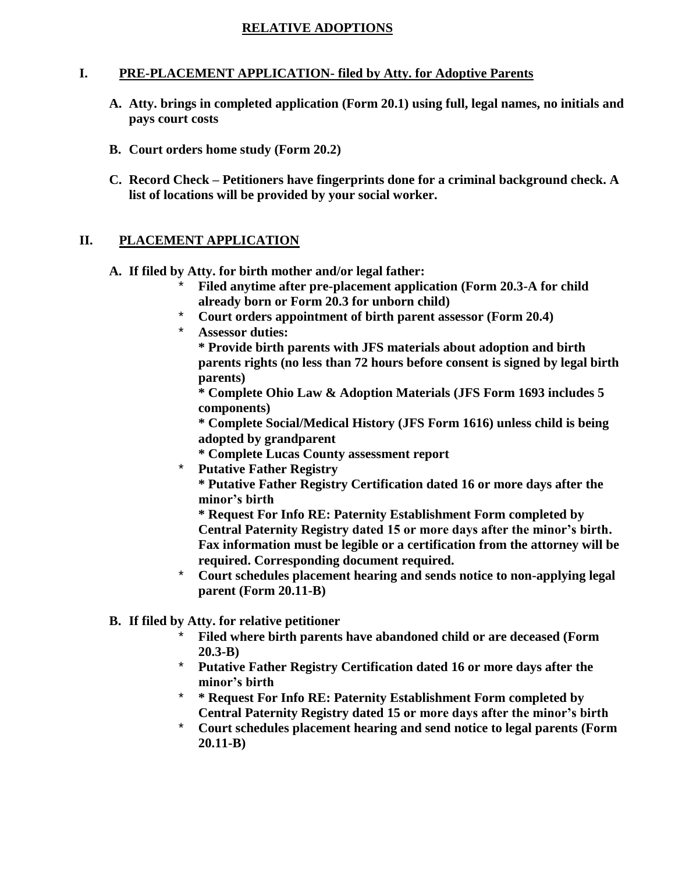#### **RELATIVE ADOPTIONS**

#### **I. PRE-PLACEMENT APPLICATION- filed by Atty. for Adoptive Parents**

- **A. Atty. brings in completed application (Form 20.1) using full, legal names, no initials and pays court costs**
- **B. Court orders home study (Form 20.2)**
- **C. Record Check – Petitioners have fingerprints done for a criminal background check. A list of locations will be provided by your social worker.**

#### **II. PLACEMENT APPLICATION**

- **A. If filed by Atty. for birth mother and/or legal father:**
	- \* **Filed anytime after pre-placement application (Form 20.3-A for child already born or Form 20.3 for unborn child)**
	- \* **Court orders appointment of birth parent assessor (Form 20.4)**
	- **Assessor duties:**

**\* Provide birth parents with JFS materials about adoption and birth parents rights (no less than 72 hours before consent is signed by legal birth parents)**

**\* Complete Ohio Law & Adoption Materials (JFS Form 1693 includes 5 components)**

**\* Complete Social/Medical History (JFS Form 1616) unless child is being adopted by grandparent**

- **\* Complete Lucas County assessment report**
- **Putative Father Registry**

**\* Putative Father Registry Certification dated 16 or more days after the minor's birth**

**\* Request For Info RE: Paternity Establishment Form completed by Central Paternity Registry dated 15 or more days after the minor's birth. Fax information must be legible or a certification from the attorney will be required. Corresponding document required.**

- \* **Court schedules placement hearing and sends notice to non-applying legal parent (Form 20.11-B)**
- **B. If filed by Atty. for relative petitioner**
	- \* **Filed where birth parents have abandoned child or are deceased (Form 20.3-B)**
	- \* **Putative Father Registry Certification dated 16 or more days after the minor's birth**
	- \* **\* Request For Info RE: Paternity Establishment Form completed by Central Paternity Registry dated 15 or more days after the minor's birth**
	- \* **Court schedules placement hearing and send notice to legal parents (Form 20.11-B)**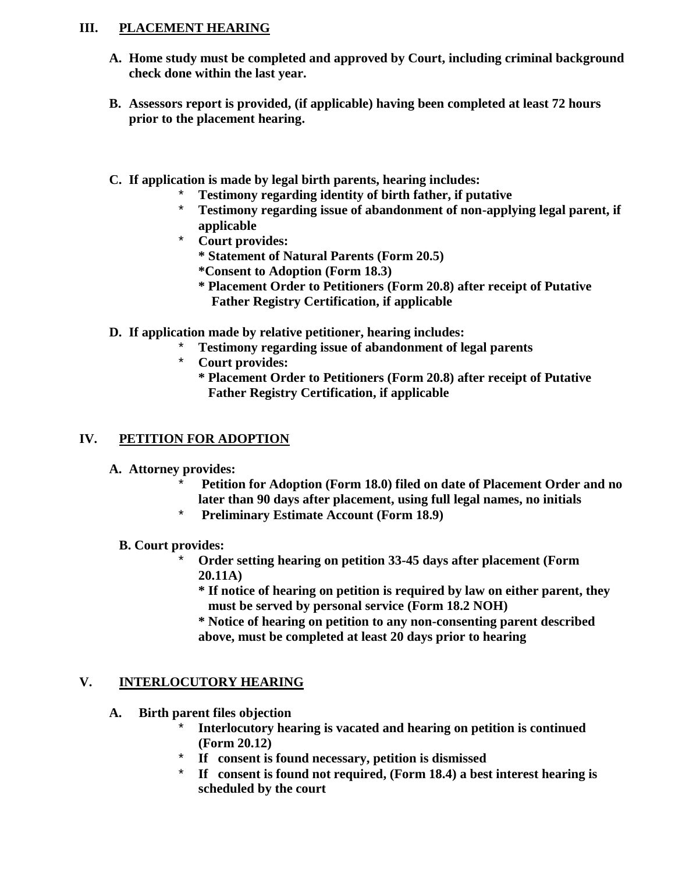## **III. PLACEMENT HEARING**

- **A. Home study must be completed and approved by Court, including criminal background check done within the last year.**
- **B. Assessors report is provided, (if applicable) having been completed at least 72 hours prior to the placement hearing.**
- **C. If application is made by legal birth parents, hearing includes:**
	- \* **Testimony regarding identity of birth father, if putative**
	- \* **Testimony regarding issue of abandonment of non-applying legal parent, if applicable**
	- **Court provides:** 
		- **\* Statement of Natural Parents (Form 20.5)**
		- **\*Consent to Adoption (Form 18.3)**
		- **\* Placement Order to Petitioners (Form 20.8) after receipt of Putative Father Registry Certification, if applicable**
- **D. If application made by relative petitioner, hearing includes:**
	- \* **Testimony regarding issue of abandonment of legal parents**
	- **Court provides:** 
		- **\* Placement Order to Petitioners (Form 20.8) after receipt of Putative Father Registry Certification, if applicable**

# **IV. PETITION FOR ADOPTION**

- **A. Attorney provides:**
	- \* **Petition for Adoption (Form 18.0) filed on date of Placement Order and no later than 90 days after placement, using full legal names, no initials**
	- \* **Preliminary Estimate Account (Form 18.9)**
	- **B. Court provides:**
		- \* **Order setting hearing on petition 33-45 days after placement (Form 20.11A)**
			- **\* If notice of hearing on petition is required by law on either parent, they must be served by personal service (Form 18.2 NOH)**
			- **\* Notice of hearing on petition to any non-consenting parent described above, must be completed at least 20 days prior to hearing**

## **V. INTERLOCUTORY HEARING**

- **A. Birth parent files objection**
	- \* **Interlocutory hearing is vacated and hearing on petition is continued (Form 20.12)**
	- If consent is found necessary, petition is dismissed
	- \* **If consent is found not required, (Form 18.4) a best interest hearing is scheduled by the court**